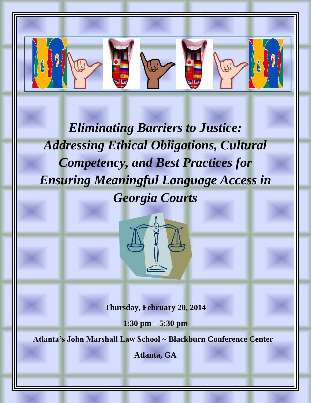*Eliminating Barriers to Justice: Addressing Ethical Obligations, Cultural Competency, and Best Practices for Ensuring Meaningful Language Access in Georgia Courts*



**Thursday, February 20, 2014**

**1:30 pm – 5:30 pm**

**Atlanta's John Marshall Law School ~ Blackburn Conference Center**

**Atlanta, GA**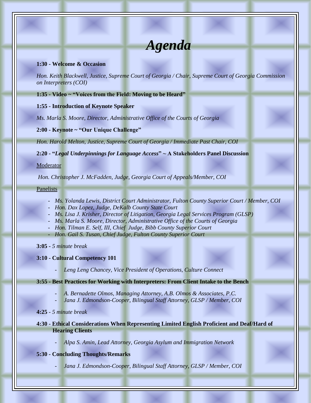# *Agenda*

#### **1:30 - Welcome & Occasion**

*Hon. Keith Blackwell, Justice, Supreme Court of Georgia / Chair, Supreme Court of Georgia Commission on Interpreters (COI)*

#### **1:35 - Video ~ "Voices from the Field: Moving to be Heard"**

#### **1:55 - Introduction of Keynote Speaker**

*Ms. Marla S. Moore, Director, Administrative Office of the Courts of Georgia*

**2:00 - Keynote ~ "Our Unique Challenge"**

*Hon. Harold Melton, Justice, Supreme Court of Georgia / Immediate Past Chair, COI*

**2:20 - "***Legal Underpinnings for Language Access***" ~ A Stakeholders Panel Discussion**

**Moderator** 

*Hon. Christopher J. McFadden, Judge, Georgia Court of Appeals/Member, COI*

Panelists

- *Ms. Yolanda Lewis, District Court Administrator, Fulton County Superior Court / Member, COI*
- *Hon. Dax Lopez, Judge, DeKalb County State Court*
- *Ms. Lisa J. Krisher, Director of Litigation, Georgia Legal Services Program (GLSP)*
- *Ms. Marla S. Moore, Director, Administrative Office of the Courts of Georgia*
- *Hon. Tilman E. Self, III, Chief Judge, Bibb County Superior Court*
- *Hon. Gail S. Tusan, Chief Judge, Fulton County Superior Court*

**3:05 -** *5 minute break*

#### **3:10 - Cultural Competency 101**

Leng Leng Chancey, Vice President of Operations, Culture Connect

#### **3:55 - Best Practices for Working with Interpreters: From Client Intake to the Bench**

- *A. Bernadette Olmos, Managing Attorney, A.B. Olmos & Associates, P.C.*
- *Jana J. Edmondson-Cooper, Bilingual Staff Attorney, GLSP / Member, COI*
- **4:25** *5 minute break*
- **4:30 - Ethical Considerations When Representing Limited English Proficient and Deaf/Hard of Hearing Clients**
	- *Alpa S. Amin, Lead Attorney, Georgia Asylum and Immigration Network*

#### **5:30** *-* **Concluding Thoughts/Remarks**

- *Jana J. Edmondson-Cooper, Bilingual Staff Attorney, GLSP / Member, COI*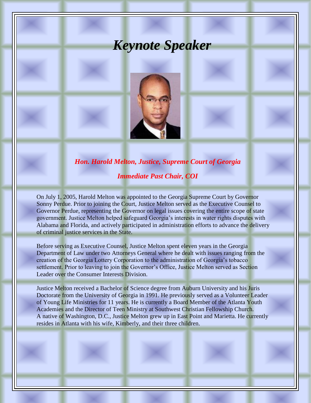## *Keynote Speaker*



### *Hon. Harold Melton, Justice, Supreme Court of Georgia*

#### *Immediate Past Chair, COI*

On July 1, 2005, Harold Melton was appointed to the Georgia Supreme Court by Governor Sonny Perdue. Prior to joining the Court, Justice Melton served as the Executive Counsel to Governor Perdue, representing the Governor on legal issues covering the entire scope of state government. Justice Melton helped safeguard Georgia's interests in water rights disputes with Alabama and Florida, and actively participated in administration efforts to advance the delivery of criminal justice services in the State.

Before serving as Executive Counsel, Justice Melton spent eleven years in the Georgia Department of Law under two Attorneys General where he dealt with issues ranging from the creation of the Georgia Lottery Corporation to the administration of Georgia's tobacco settlement. Prior to leaving to join the Governor's Office, Justice Melton served as Section Leader over the Consumer Interests Division.

Justice Melton received a Bachelor of Science degree from Auburn University and his Juris Doctorate from the University of Georgia in 1991. He previously served as a Volunteer Leader of Young Life Ministries for 11 years. He is currently a Board Member of the Atlanta Youth Academies and the Director of Teen Ministry at Southwest Christian Fellowship Church. A native of Washington, D.C., Justice Melton grew up in East Point and Marietta. He currently resides in Atlanta with his wife, Kimberly, and their three children.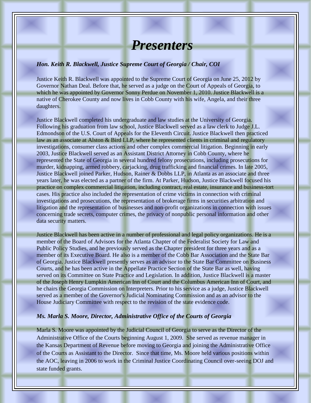## *Presenters*

#### *Hon. Keith R. Blackwell, Justice Supreme Court of Georgia / Chair, COI*

Justice Keith R. Blackwell was appointed to the Supreme Court of Georgia on June 25, 2012 by Governor Nathan Deal. Before that, he served as a judge on the Court of Appeals of Georgia, to which he was appointed by Governor Sonny Perdue on November 1, 2010. Justice Blackwell is a native of Cherokee County and now lives in Cobb County with his wife, Angela, and their three daughters.

Justice Blackwell completed his undergraduate and law studies at the University of Georgia. Following his graduation from law school, Justice Blackwell served as a law clerk to Judge J.L. Edmondson of the U.S. Court of Appeals for the Eleventh Circuit. Justice Blackwell then practiced law as an associate at Alston & Bird LLP, where he represented clients in criminal and regulatory investigations, consumer class actions and other complex commercial litigation. Beginning in early 2003, Justice Blackwell served as an Assistant District Attorney in Cobb County, where he represented the State of Georgia in several hundred felony prosecutions, including prosecutions for murder, kidnapping, armed robbery, carjacking, drug trafficking and financial crimes. In late 2005, Justice Blackwell joined Parker, Hudson, Rainer & Dobbs LLP, in Atlanta as an associate and three years later, he was elected as a partner of the firm. At Parker, Hudson, Justice Blackwell focused his practice on complex commercial litigation, including contract, real estate, insurance and business-tort cases. His practice also included the representation of crime victims in connection with criminal investigations and prosecutions, the representation of brokerage firms in securities arbitration and litigation and the representation of businesses and non-profit organizations in connection with issues concerning trade secrets, computer crimes, the privacy of nonpublic personal information and other data security matters.

Justice Blackwell has been active in a number of professional and legal policy organizations. He is a member of the Board of Advisors for the Atlanta Chapter of the Federalist Society for Law and Public Policy Studies, and he previously served as the Chapter president for three years and as a member of its Executive Board. He also is a member of the Cobb Bar Association and the State Bar of Georgia. Justice Blackwell presently serves as an advisor to the State Bar Committee on Business Courts, and he has been active in the Appellate Practice Section of the State Bar as well, having served on its Committee on State Practice and Legislation. In addition, Justice Blackwell is a master of the Joseph Henry Lumpkin American Inn of Court and the Columbus American Inn of Court, and he chairs the Georgia Commission on Interpreters. Prior to his service as a judge, Justice Blackwell served as a member of the Governor's Judicial Nominating Commission and as an advisor to the House Judiciary Committee with respect to the revision of the state evidence code.

#### *Ms. Marla S. Moore, Director, Administrative Office of the Courts of Georgia*

Marla S. Moore was appointed by the Judicial Council of Georgia to serve as the Director of the Administrative Office of the Courts beginning August 1, 2009. She served as revenue manager in the Kansas Department of Revenue before moving to Georgia and joining the Administrative Office of the Courts as Assistant to the Director. Since that time, Ms. Moore held various positions within the AOC, leaving in 2006 to work in the Criminal Justice Coordinating Council over-seeing DOJ and state funded grants.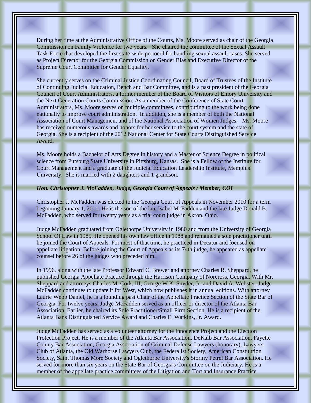During her time at the Administrative Office of the Courts, Ms. Moore served as chair of the Georgia Commission on Family Violence for two years. She chaired the committee of the Sexual Assault Task Force that developed the first state-wide protocol for handling sexual assault cases. She served as Project Director for the Georgia Commission on Gender Bias and Executive Director of the Supreme Court Committee for Gender Equality.

She currently serves on the Criminal Justice Coordinating Council, Board of Trustees of the Institute of Continuing Judicial Education, Bench and Bar Committee, and is a past president of the Georgia Council of Court Administrators, a former member of the Board of Visitors of Emory University and the Next Generation Courts Commission. As a member of the Conference of State Court Administrators, Ms. Moore serves on multiple committees, contributing to the work being done nationally to improve court administration. In addition, she is a member of both the National Association of Court Management and of the National Association of Women Judges. Ms. Moore has received numerous awards and honors for her service to the court system and the state of Georgia. She is a recipient of the 2012 National Center for State Courts Distinguished Service Award.

Ms. Moore holds a Bachelor of Arts Degree in history and a Master of Science Degree in political science from Pittsburg State University in Pittsburg, Kansas. She is a Fellow of the Institute for Court Management and a graduate of the Judicial Education Leadership Institute, Memphis University. She is married with 2 daughters and 1 grandson.

#### *Hon. Christopher J. McFadden, Judge, Georgia Court of Appeals / Member, COI*

Christopher J. McFadden was elected to the Georgia Court of Appeals in November 2010 for a term beginning January 1, 2011. He is the son of the late Isabel McFadden and the late Judge Donald B. McFadden, who served for twenty years as a trial court judge in Akron, Ohio.

Judge McFadden graduated from Oglethorpe University in 1980 and from the University of Georgia School Of Law in 1985. He opened his own law office in 1988 and remained a sole practitioner until he joined the Court of Appeals. For most of that time, he practiced in Decatur and focused on appellate litigation. Before joining the Court of Appeals as its 74th judge, he appeared as appellate counsel before 26 of the judges who preceded him.

In 1996, along with the late Professor Edward C. Brewer and attorney Charles R. Sheppard, he published Georgia Appellate Practice through the Harrison Company of Norcross, Georgia. With Mr. Sheppard and attorneys Charles M. Cork, III, George W.K. Snyder, Jr. and David A. Webster, Judge McFadden continues to update it for West, which now publishes it in annual editions. With attorney Laurie Webb Daniel, he is a founding past Chair of the Appellate Practice Section of the State Bar of Georgia. For twelve years, Judge McFadden served as an officer or director of the Atlanta Bar Association. Earlier, he chaired its Sole Practitioner/Small Firm Section. He is a recipient of the Atlanta Bar's Distinguished Service Award and Charles E. Watkins, Jr. Award.

Judge McFadden has served as a volunteer attorney for the Innocence Project and the Election Protection Project. He is a member of the Atlanta Bar Association, DeKalb Bar Association, Fayette County Bar Association, Georgia Association of Criminal Defense Lawyers (honorary), Lawyers Club of Atlanta, the Old Warhorse Lawyers Club, the Federalist Society, American Constitution Society, Saint Thomas More Society and Oglethorpe University's Stormy Petrel Bar Association. He served for more than six years on the State Bar of Georgia's Committee on the Judiciary. He is a member of the appellate practice committees of the Litigation and Tort and Insurance Practice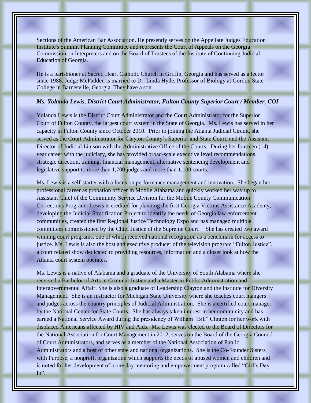Sections of the American Bar Association. He presently serves on the Appellate Judges Education Institute's Summit Planning Committee and represents the Court of Appeals on the Georgia Commission on Interpreters and on the Board of Trustees of the Institute of Continuing Judicial Education of Georgia.

He is a parishioner at Sacred Heart Catholic Church in Griffin, Georgia and has served as a lector since 1988. Judge McFadden is married to Dr. Linda Hyde, Professor of Biology at Gordon State College in Barnesville, Georgia. They have a son.

#### *Ms. Yolanda Lewis, District Court Administrator, Fulton County Superior Court / Member, COI*

Yolanda Lewis is the District Court Administrator and the Court Administrator for the Superior Court of Fulton County, the largest court system in the State of Georgia. Ms. Lewis has served in her capacity in Fulton County since October 2010. Prior to joining the Atlanta Judicial Circuit, she served as the Court Administrator for Clayton County's Superior and State Court, and the Assistant Director of Judicial Liaison with the Administrative Office of the Courts. During her fourteen (14) year career with the judiciary, she has provided broad-scale executive level recommendations, strategic direction, training, financial management, alternative sentencing development and legislative support to more than 1,700 judges and more than 1,100 courts.

Ms. Lewis is a self-starter with a focus on performance management and innovation. She began her professional career as probation officer in Mobile Alabama and quickly worked her way up to Assistant Chief of the Community Service Division for the Mobile County Communication Corrections Program. Lewis is credited for planning the first Georgia Victims Assistance Academy, developing the Judicial Stratification Project to identify the needs of Georgia law enforcement communities, created the first Regional Justice Technology Expo and has managed multiple committees commissioned by the Chief Justice of the Supreme Court. She has created two award winning court programs, one of which received national recognition as a benchmark for access to justice. Ms. Lewis is also the host and executive producer of the television program "Fulton Justice", a court related show dedicated to providing resources, information and a closer look at how the Atlanta court system operates.

Ms. Lewis is a native of Alabama and a graduate of the University of South Alabama where she received a Bachelor of Arts in Criminal Justice and a Master in Public Administration and Intergovernmental Affair. She is also a graduate of Leadership Clayton and the Institute for Diversity Management. She is an instructor for Michigan State University where she teaches court mangers and judges across the country principles of Judicial Administration. She is a certified court manager by the National Center for State Courts. She has always taken interest in her community and has earned a National Service Award during the presidency of William "Bill" Clinton for her work with displaced Americans affected by HIV and Aids. Ms. Lewis was elected to the Board of Directors for the National Association for Court Management in 2012, serves on the Board of the Georgia Council of Court Administrators, and serves as a member of the National Association of Public Administrators and a host of other state and national organizations. She is the Co-Founder Sisters with Purpose, a nonprofit organization which supports the needs of abused women and children and is noted for her development of a one day mentoring and empowerment program called "Girl's Day  $In$ ".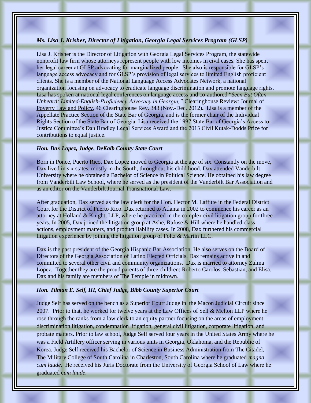#### *Ms. Lisa J. Krisher, Director of Litigation, Georgia Legal Services Program (GLSP)*

Lisa J. Krisher is the Director of Litigation with Georgia Legal Services Program, the statewide nonprofit law firm whose attorneys represent people with low incomes in civil cases. She has spent her legal career at GLSP advocating for marginalized people. She also is responsible for GLSP's language access advocacy and for GLSP's provision of legal services to limited English proficient clients. She is a member of the National Language Access Advocates Network, a national organization focusing on advocacy to eradicate language discrimination and promote language rights. Lisa has spoken at national legal conferences on language access and co-authored "*Seen But Often Unheard: Limited-English-Proficiency Advocacy in Georgia,"* Clearinghouse Review: Journal of Poverty Law and Policy, 46 Clearinghouse Rev. 343 (Nov.-Dec. 2012)**.** Lisa is a member of the Appellate Practice Section of the State Bar of Georgia, and is the former chair of the Individual Rights Section of the State Bar of Georgia. Lisa received the 1997 State Bar of Georgia's Access to Justice Committee's Dan Bradley Legal Services Award and the 2013 Civil Kutak-Dodds Prize for contributions to equal justice.

#### *Hon. Dax Lopez, Judge, DeKalb County State Court*

Born in Ponce, Puerto Rico, Dax Lopez moved to Georgia at the age of six. Constantly on the move, Dax lived in six states, mostly in the South, throughout his child hood. Dax attended Vanderbilt University where he obtained a Bachelor of Science in Political Science. He obtained his law degree from Vanderbilt Law School, where he served as the president of the Vanderbilt Bar Association and as an editor on the Vanderbilt Journal Transnational Law.

After graduation, Dax served as the law clerk for the Hon. Hector M. Laffitte in the Federal District Court for the District of Puerto Rico. Dax returned to Atlanta in 2002 to commence his career as an attorney at Holland & Knight, LLP, where he practiced in the complex civil litigation group for three years. In 2005, Dax joined the litigation group at Ashe, Rafuse  $\&$  Hill where he handled class actions, employment matters, and product liability cases. In 2008, Dax furthered his commercial litigation experience by joining the litigation group of Foltz & Martin LLC.

Dax is the past president of the Georgia Hispanic Bar Association. He also serves on the Board of Directors of the Georgia Association of Latino Elected Officials. Dax remains active in and committed to several other civil and community organizations. Dax is married to attorney Zulma Lopez. Together they are the proud parents of three children: Roberto Carolos, Sebastian, and Elisa. Dax and his family are members of The Temple in midtown.

#### *Hon. Tilman E. Self, III, Chief Judge, Bibb County Superior Court*

Judge Self has served on the bench as a Superior Court Judge in the Macon Judicial Circuit since 2007. Prior to that, he worked for twelve years at the Law Offices of Sell & Melton LLP where he rose through the ranks from a law clerk to an equity partner focusing on the areas of employment discrimination litigation, condemnation litigation, general civil litigation, corporate litigation, and probate matters. Prior to law school, Judge Self served four years in the United States Army where he was a Field Artillery officer serving in various units in Georgia, Oklahoma, and the Republic of Korea. Judge Self received his Bachelor of Science in Business Administration from The Citadel, The Military College of South Carolina in Charleston, South Carolina where he graduated *magna cum laude*. He received his Juris Doctorate from the University of Georgia School of Law where he graduated c*um laude*.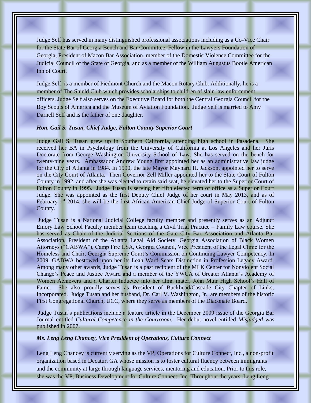Judge Self has served in many distinguished professional associations including as a Co-Vice Chair for the State Bar of Georgia Bench and Bar Committee, Fellow in the Lawyers Foundation of Georgia, President of Macon Bar Association, member of the Domestic Violence Committee for the Judicial Council of the State of Georgia, and as a member of the William Augustus Bootle American Inn of Court.

Judge Self is a member of Piedmont Church and the Macon Rotary Club. Additionally, he is a member of The Shield Club which provides scholarships to children of slain law enforcement officers. Judge Self also serves on the Executive Board for both the Central Georgia Council for the Boy Scouts of America and the Museum of Aviation Foundation. Judge Self is married to Amy Darnell Self and is the father of one daughter.

#### *Hon. Gail S. Tusan, Chief Judge, Fulton County Superior Court*

Judge Gail S. Tusan grew up in Southern California, attending high school in Pasadena. She received her BA in Psychology from the University of California at Los Angeles and her Juris Doctorate from George Washington University School of Law. She has served on the bench for twenty-nine years. Ambassador Andrew Young first appointed her as an administrative law judge for the City of Atlanta in 1984. In 1990, the late Mayor Maynard H. Jackson, appointed her to serve on the City Court of Atlanta. Then Governor Zell Miller appointed her to the State Court of Fulton County in 1992, and after she was elected to retain said seat, he elevated her to the Superior Court of Fulton County in 1995. Judge Tusan is serving her fifth elected term of office as a Superior Court Judge. She was appointed as the first Deputy Chief Judge of her court in May 2013, and as of February 1<sup>st</sup> 2014, she will be the first African-American Chief Judge of Superior Court of Fulton County.

Judge Tusan is a National Judicial College faculty member and presently serves as an Adjunct Emory Law School Faculty member team teaching a Civil Trial Practice – Family Law course. She has served as Chair of the Judicial Sections of the Gate City Bar Association and Atlanta Bar Association, President of the Atlanta Legal Aid Society, Georgia Association of Black Women Attorneys ("GABWA"), Camp Fire USA, Georgia Council, Vice President of the Legal Clinic for the Homeless and Chair, Georgia Supreme Court's Commission on Continuing Lawyer Competency. In 2009, GABWA bestowed upon her its Leah Ward Sears Distinction in Profession Legacy Award. Among many other awards, Judge Tusan is a past recipient of the MLK Center for Nonviolent Social Change's Peace and Justice Award and a member of the YWCA of Greater Atlanta's Academy of Women Achievers and a Charter Inductee into her alma mater, John Muir High School's Hall of Fame. She also proudly serves as President of Buckhead/Cascade City Chapter of Links, Incorporated. Judge Tusan and her husband, Dr. Carl V. Washington, Jr., are members of the historic First Congregational Church, UCC, where they serve as members of the Diaconate Board.

Judge Tusan's publications include a feature article in the December 2009 issue of the Georgia Bar Journal entitled *Cultural Competence in the Courtroom.* Her debut novel entitled *Misjudged* was published in 2007.

#### *Ms. Leng Leng Chancey, Vice President of Operations, Culture Connect*

Leng Leng Chancey is currently serving as the VP, Operations for Culture Connect, Inc., a non-profit organization based in Decatur, GA whose mission is to foster cultural fluency between immigrants and the community at large through language services, mentoring and education. Prior to this role, she was the VP, Business Development for Culture Connect, Inc. Throughout the years, Leng Leng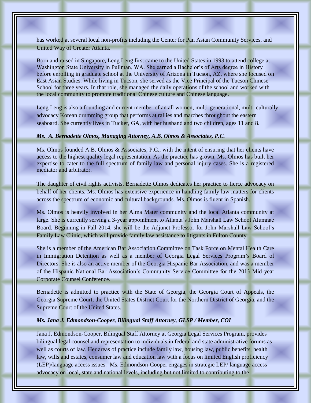has worked at several local non-profits including the Center for Pan Asian Community Services, and United Way of Greater Atlanta.

Born and raised in Singapore, Leng Leng first came to the United States in 1993 to attend college at Washington State University in Pullman, WA. She earned a Bachelor's of Arts degree in History before enrolling in graduate school at the University of Arizona in Tucson, AZ, where she focused on East Asian Studies. While living in Tucson, she served as the Vice Principal of the Tucson Chinese School for three years. In that role, she managed the daily operations of the school and worked with the local community to promote traditional Chinese culture and Chinese language.

Leng Leng is also a founding and current member of an all women, multi-generational, multi-culturally advocacy Korean drumming group that performs at rallies and marches throughout the eastern seaboard. She currently lives in Tucker, GA, with her husband and two children, ages 11 and 8.

#### *Ms. A. Bernadette Olmos, Managing Attorney, A.B. Olmos & Associates, P.C.*

Ms. Olmos founded A.B. Olmos & Associates, P.C., with the intent of ensuring that her clients have access to the highest quality legal representation. As the practice has grown, Ms. Olmos has built her expertise to cater to the full spectrum of family law and personal injury cases. She is a registered mediator and arbitrator.

The daughter of civil rights activists, Bernadette Olmos dedicates her practice to fierce advocacy on behalf of her clients. Ms. Olmos has extensive experience in handling family law matters for clients across the spectrum of economic and cultural backgrounds. Ms. Olmos is fluent in Spanish.

Ms. Olmos is heavily involved in her Alma Mater community and the local Atlanta community at large. She is currently serving a 3-year appointment to Atlanta's John Marshall Law School Alumnae Board. Beginning in Fall 2014, she will be the Adjunct Professor for John Marshall Law School's Family Law Clinic, which will provide family law assistance to litigants in Fulton County.

She is a member of the American Bar Association Committee on Task Force on Mental Health Care in Immigration Detention as well as a member of Georgia Legal Services Program's Board of Directors. She is also an active member of the Georgia Hispanic Bar Association, and was a member of the Hispanic National Bar Association's Community Service Committee for the 2013 Mid-year Corporate Counsel Conference.

Bernadette is admitted to practice with the State of Georgia, the Georgia Court of Appeals, the Georgia Supreme Court, the United States District Court for the Northern District of Georgia, and the Supreme Court of the United States.

#### *Ms. Jana J. Edmondson-Cooper, Bilingual Staff Attorney, GLSP / Member, COI*

Jana J. Edmondson-Cooper, Bilingual Staff Attorney at Georgia Legal Services Program, provides bilingual legal counsel and representation to individuals in federal and state administrative forums as well as courts of law. Her areas of practice include family law, housing law, public benefits, health law, wills and estates, consumer law and education law with a focus on limited English proficiency (LEP)/language access issues. Ms. Edmondson-Cooper engages in strategic LEP/ language access advocacy on local, state and national levels, including but not limited to contributing to the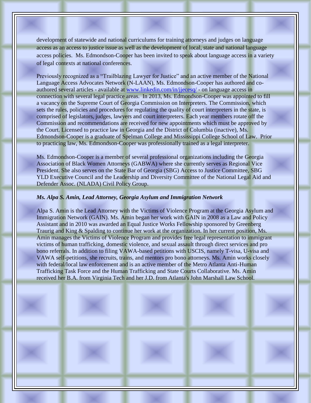development of statewide and national curriculums for training attorneys and judges on language access as an access to justice issue as well as the development of local, state and national language access policies. Ms. Edmondson-Cooper has been invited to speak about language access in a variety of legal contexts at national conferences.

Previously recognized as a "Trailblazing Lawyer for Justice" and an active member of the National Language Access Advocates Network (N-LAAN), Ms. Edmondson-Cooper has authored and coauthored several articles - available at [www.linkedin.com/in/jjecesq/](http://www.linkedin.com/in/jjecesq/) - on language access in connection with several legal practice areas. In 2013, Ms. Edmondson-Cooper was appointed to fill a vacancy on the Supreme Court of Georgia Commission on Interpreters. The Commission, which sets the rules, policies and procedures for regulating the quality of court interpreters in the state, is comprised of legislators, judges, lawyers and court interpreters. Each year members rotate off the Commission and recommendations are received for new appointments which must be approved by the Court. Licensed to practice law in Georgia and the District of Columbia (inactive), Ms. Edmondson-Cooper is a graduate of Spelman College and Mississippi College School of Law. Prior to practicing law, Ms. Edmondson-Cooper was professionally trained as a legal interpreter.

Ms. Edmondson-Cooper is a member of several professional organizations including the Georgia Association of Black Women Attorneys (GABWA) where she currently serves as Regional Vice President. She also serves on the State Bar of Georgia (SBG) Access to Justice Committee, SBG YLD Executive Council and the Leadership and Diversity Committee of the National Legal Aid and Defender Assoc. (NLADA) Civil Policy Group.

#### *Ms. Alpa S. Amin, Lead Attorney, Georgia Asylum and Immigration Network*

Alpa S. Amin is the Lead Attorney with the Victims of Violence Program at the Georgia Asylum and Immigration Network (GAIN). Ms. Amin began her work with GAIN in 2008 as a Law and Policy Assistant and in 2010 was awarded an Equal Justice Works Fellowship sponsored by Greenberg Traurig and King & Spalding to continue her work at the organization. In her current position, Ms. Amin manages the Victims of Violence Program and provides free legal representation to immigrant victims of human trafficking, domestic violence, and sexual assault through direct services and pro bono referrals. In addition to filing VAWA-based petitions with USCIS, namely T-visa, U-visa and VAWA self-petitions, she recruits, trains, and mentors pro bono attorneys. Ms. Amin works closely with federal/local law enforcement and is an active member of the Metro Atlanta Anti-Human Trafficking Task Force and the Human Trafficking and State Courts Collaborative. Ms. Amin received her B.A. from Virginia Tech and her J.D. from Atlanta's John Marshall Law School.